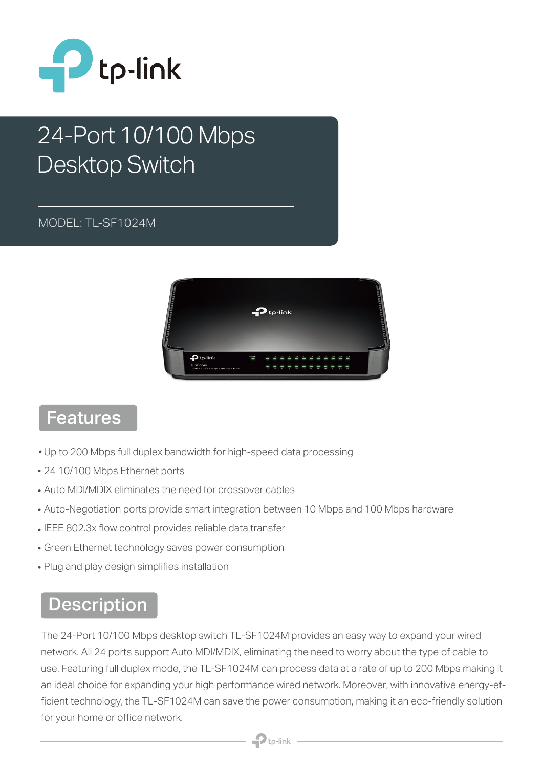

# 24-Port 10/100 Mbps Desktop Switch

#### MODEL: TL-SF1024M



#### Features

- Up to 200 Mbps full duplex bandwidth for high-speed data processing
- 24 10/100 Mbps Ethernet ports
- Auto MDI/MDIX eliminates the need for crossover cables
- Auto-Negotiation ports provide smart integration between 10 Mbps and 100 Mbps hardware
- IEEE 802.3x flow control provides reliable data transfer
- Green Ethernet technology saves power consumption
- Plug and play design simplifies installation

### Description

The 24-Port 10/100 Mbps desktop switch TL-SF1024M provides an easy way to expand your wired network. All 24 ports support Auto MDI/MDIX, eliminating the need to worry about the type of cable to use. Featuring full duplex mode, the TL-SF1024M can process data at a rate of up to 200 Mbps making it an ideal choice for expanding your high performance wired network. Moreover, with innovative energy-efficient technology, the TL-SF1024M can save the power consumption, making it an eco-friendly solution for your home or office network.